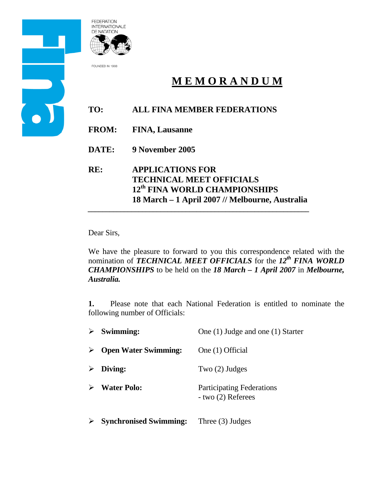



FOUNDED IN 1908

# **M E M O R A N D U M**

## **TO: ALL FINA MEMBER FEDERATIONS**

- **FROM: FINA, Lausanne**
- **DATE: 9 November 2005**
- **RE: APPLICATIONS FOR TECHNICAL MEET OFFICIALS 12th FINA WORLD CHAMPIONSHIPS 18 March – 1 April 2007 // Melbourne, Australia**  *\_\_\_\_\_\_\_\_\_\_\_\_\_\_\_\_\_\_\_\_\_\_\_\_\_\_\_\_\_\_\_\_\_\_\_\_\_\_\_\_\_\_\_\_\_\_\_\_\_\_\_\_\_\_\_\_\_\_\_\_\_*

Dear Sirs,

We have the pleasure to forward to you this correspondence related with the nomination of *TECHNICAL MEET OFFICIALS* for the 12<sup>th</sup> FINA WORLD *CHAMPIONSHIPS* to be held on the *18 March – 1 April 2007* in *Melbourne, Australia.* 

**1.** Please note that each National Federation is entitled to nominate the following number of Officials:

| $\triangleright$ Swimming:              | One (1) Judge and one (1) Starter                          |
|-----------------------------------------|------------------------------------------------------------|
| $\triangleright$ Open Water Swimming:   | One (1) Official                                           |
| $\triangleright$ Diving:                | Two $(2)$ Judges                                           |
| $\triangleright$ Water Polo:            | <b>Participating Federations</b><br>$-$ two $(2)$ Referees |
| $\triangleright$ Synchronised Swimming: | Three $(3)$ Judges                                         |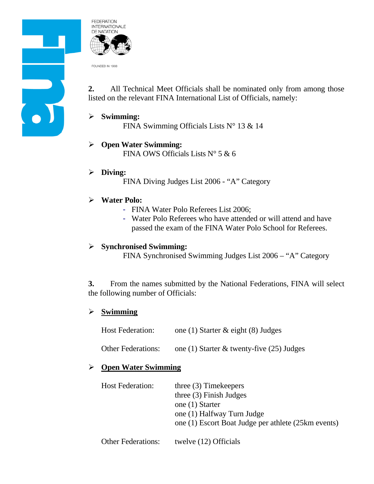



FOUNDED IN 1908

**2.** All Technical Meet Officials shall be nominated only from among those listed on the relevant FINA International List of Officials, namely:

#### ¾ **Swimming:**

FINA Swimming Officials Lists N° 13 & 14

¾ **Open Water Swimming:** FINA OWS Officials Lists  $N^{\circ}$  5 & 6

# ¾ **Diving:**

FINA Diving Judges List 2006 - "A" Category

### ¾ **Water Polo:**

- FINA Water Polo Referees List 2006;
- Water Polo Referees who have attended or will attend and have passed the exam of the FINA Water Polo School for Referees.

#### ¾ **Synchronised Swimming:**

FINA Synchronised Swimming Judges List 2006 – "A" Category

**3.** From the names submitted by the National Federations, FINA will select the following number of Officials:

### ¾ **Swimming**

| <b>Host Federation:</b>   | one (1) Starter $\&$ eight (8) Judges        |
|---------------------------|----------------------------------------------|
| <b>Other Federations:</b> | one (1) Starter $\&$ twenty-five (25) Judges |

### ¾ **Open Water Swimming**

| <b>Host Federation:</b>   | three $(3)$ Timekeepers<br>three $(3)$ Finish Judges<br>one (1) Starter<br>one (1) Halfway Turn Judge |
|---------------------------|-------------------------------------------------------------------------------------------------------|
| <b>Other Federations:</b> | one (1) Escort Boat Judge per athlete (25km events)<br>twelve (12) Officials                          |